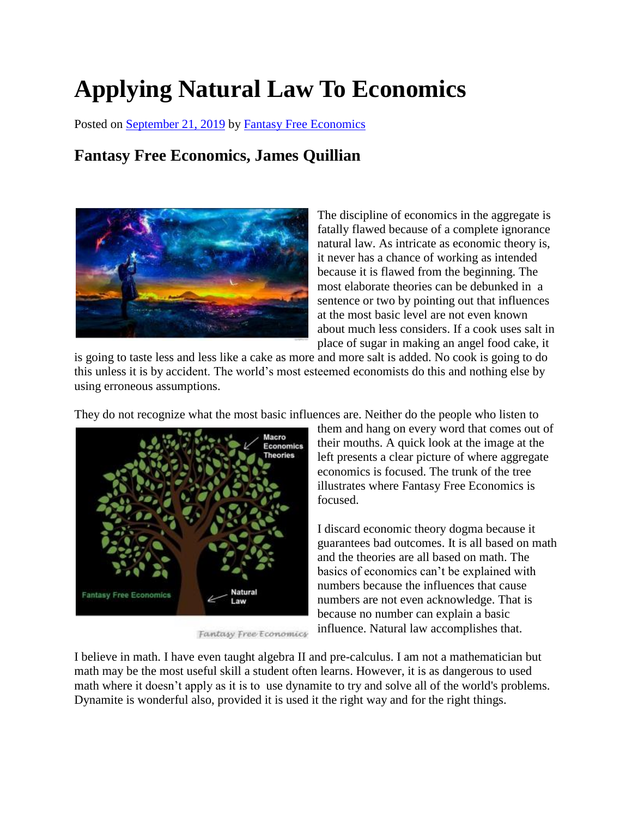## **Applying Natural Law To Economics**

Posted on [September 21, 2019](http://quillian.net/blog/?p=6686) by [Fantasy Free Economics](http://quillian.net/blog/author/james-quillian/)

## **Fantasy Free Economics, James Quillian**



The discipline of economics in the aggregate is fatally flawed because of a complete ignorance natural law. As intricate as economic theory is, it never has a chance of working as intended because it is flawed from the beginning. The most elaborate theories can be debunked in a sentence or two by pointing out that influences at the most basic level are not even known about much less considers. If a cook uses salt in place of sugar in making an angel food cake, it

is going to taste less and less like a cake as more and more salt is added. No cook is going to do this unless it is by accident. The world's most esteemed economists do this and nothing else by using erroneous assumptions.

They do not recognize what the most basic influences are. Neither do the people who listen to



Fantasy Free Economics

them and hang on every word that comes out of their mouths. A quick look at the image at the left presents a clear picture of where aggregate economics is focused. The trunk of the tree illustrates where Fantasy Free Economics is focused.

I discard economic theory dogma because it guarantees bad outcomes. It is all based on math and the theories are all based on math. The basics of economics can't be explained with numbers because the influences that cause numbers are not even acknowledge. That is because no number can explain a basic influence. Natural law accomplishes that.

I believe in math. I have even taught algebra II and pre-calculus. I am not a mathematician but math may be the most useful skill a student often learns. However, it is as dangerous to used math where it doesn't apply as it is to use dynamite to try and solve all of the world's problems. Dynamite is wonderful also, provided it is used it the right way and for the right things.